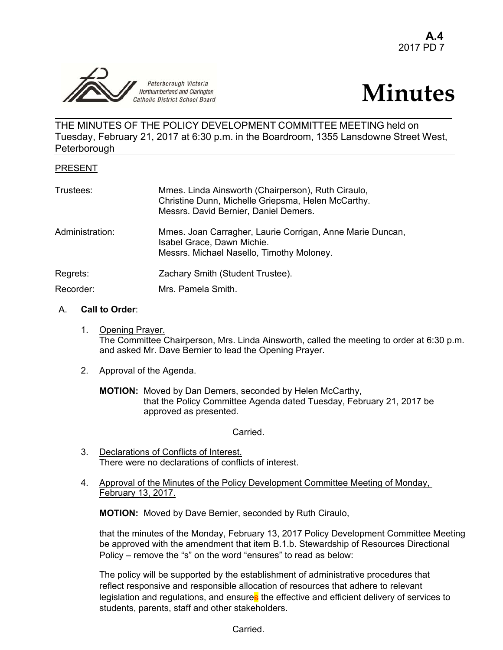



THE MINUTES OF THE POLICY DEVELOPMENT COMMITTEE MEETING held on Tuesday, February 21, 2017 at 6:30 p.m. in the Boardroom, 1355 Lansdowne Street West, **Peterborough** 

#### PRESENT

| Trustees:       | Mmes. Linda Ainsworth (Chairperson), Ruth Ciraulo,<br>Christine Dunn, Michelle Griepsma, Helen McCarthy.<br>Messrs. David Bernier, Daniel Demers. |
|-----------------|---------------------------------------------------------------------------------------------------------------------------------------------------|
| Administration: | Mmes. Joan Carragher, Laurie Corrigan, Anne Marie Duncan,<br>Isabel Grace, Dawn Michie.<br>Messrs. Michael Nasello, Timothy Moloney.              |
| Regrets:        | Zachary Smith (Student Trustee).                                                                                                                  |
| Recorder:       | Mrs. Pamela Smith.                                                                                                                                |

## A. **Call to Order**:

1. Opening Prayer. The Committee Chairperson, Mrs. Linda Ainsworth, called the meeting to order at 6:30 p.m. and asked Mr. Dave Bernier to lead the Opening Prayer.

# 2. Approval of the Agenda.

 **MOTION:** Moved by Dan Demers, seconded by Helen McCarthy, that the Policy Committee Agenda dated Tuesday, February 21, 2017 be approved as presented.

Carried.

- 3. Declarations of Conflicts of Interest. There were no declarations of conflicts of interest.
- 4. Approval of the Minutes of the Policy Development Committee Meeting of Monday, February 13, 2017.

**MOTION:** Moved by Dave Bernier, seconded by Ruth Ciraulo,

 that the minutes of the Monday, February 13, 2017 Policy Development Committee Meeting be approved with the amendment that item B.1.b. Stewardship of Resources Directional Policy – remove the "s" on the word "ensures" to read as below:

The policy will be supported by the establishment of administrative procedures that reflect responsive and responsible allocation of resources that adhere to relevant legislation and regulations, and ensures the effective and efficient delivery of services to students, parents, staff and other stakeholders.

Carried.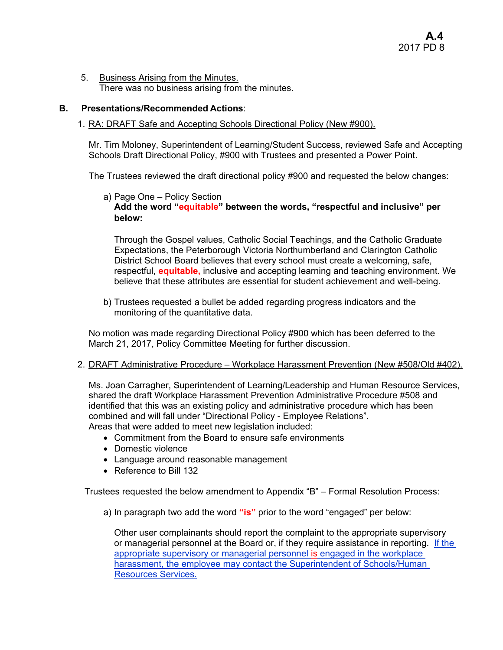5. Business Arising from the Minutes. There was no business arising from the minutes.

# **B. Presentations/Recommended Actions**:

# 1. RA: DRAFT Safe and Accepting Schools Directional Policy (New #900).

Mr. Tim Moloney, Superintendent of Learning/Student Success, reviewed Safe and Accepting Schools Draft Directional Policy, #900 with Trustees and presented a Power Point.

The Trustees reviewed the draft directional policy #900 and requested the below changes:

### a) Page One – Policy Section **Add the word "equitable" between the words, "respectful and inclusive" per below:**

Through the Gospel values, Catholic Social Teachings, and the Catholic Graduate Expectations, the Peterborough Victoria Northumberland and Clarington Catholic District School Board believes that every school must create a welcoming, safe, respectful, **equitable,** inclusive and accepting learning and teaching environment. We believe that these attributes are essential for student achievement and well-being.

b) Trustees requested a bullet be added regarding progress indicators and the monitoring of the quantitative data.

No motion was made regarding Directional Policy #900 which has been deferred to the March 21, 2017, Policy Committee Meeting for further discussion.

#### 2. DRAFT Administrative Procedure – Workplace Harassment Prevention (New #508/Old #402).

Ms. Joan Carragher, Superintendent of Learning/Leadership and Human Resource Services, shared the draft Workplace Harassment Prevention Administrative Procedure #508 and identified that this was an existing policy and administrative procedure which has been combined and will fall under "Directional Policy - Employee Relations". Areas that were added to meet new legislation included:

- Commitment from the Board to ensure safe environments
- Domestic violence
- Language around reasonable management
- Reference to Bill 132

Trustees requested the below amendment to Appendix "B" – Formal Resolution Process:

a) In paragraph two add the word **"is"** prior to the word "engaged" per below:

Other user complainants should report the complaint to the appropriate supervisory or managerial personnel at the Board or, if they require assistance in reporting. If the appropriate supervisory or managerial personnel is engaged in the workplace harassment, the employee may contact the Superintendent of Schools/Human Resources Services.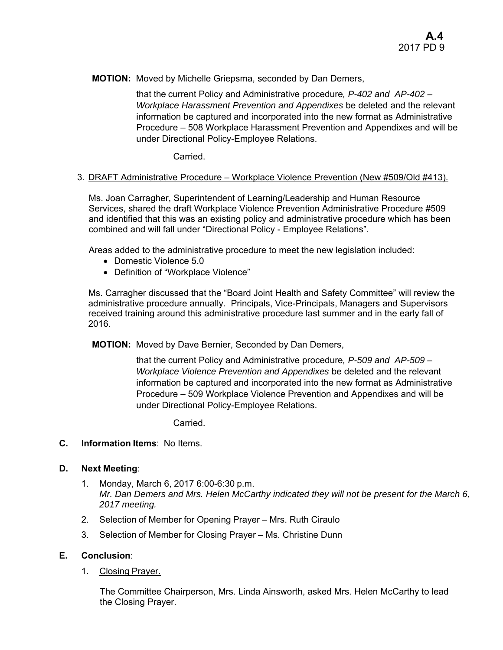**MOTION:** Moved by Michelle Griepsma, seconded by Dan Demers,

that the current Policy and Administrative procedure*, P-402 and AP-402 – Workplace Harassment Prevention and Appendixes* be deleted and the relevant information be captured and incorporated into the new format as Administrative Procedure – 508 Workplace Harassment Prevention and Appendixes and will be under Directional Policy-Employee Relations.

Carried.

## 3. DRAFT Administrative Procedure – Workplace Violence Prevention (New #509/Old #413).

Ms. Joan Carragher, Superintendent of Learning/Leadership and Human Resource Services, shared the draft Workplace Violence Prevention Administrative Procedure #509 and identified that this was an existing policy and administrative procedure which has been combined and will fall under "Directional Policy - Employee Relations".

Areas added to the administrative procedure to meet the new legislation included:

- Domestic Violence 5.0
- Definition of "Workplace Violence"

Ms. Carragher discussed that the "Board Joint Health and Safety Committee" will review the administrative procedure annually. Principals, Vice-Principals, Managers and Supervisors received training around this administrative procedure last summer and in the early fall of 2016.

**MOTION:** Moved by Dave Bernier, Seconded by Dan Demers,

that the current Policy and Administrative procedure*, P-509 and AP-509 – Workplace Violence Prevention and Appendixes* be deleted and the relevant information be captured and incorporated into the new format as Administrative Procedure – 509 Workplace Violence Prevention and Appendixes and will be under Directional Policy-Employee Relations.

Carried.

#### **C. Information Items**: No Items.

#### **D. Next Meeting**:

- 1. Monday, March 6, 2017 6:00-6:30 p.m. *Mr. Dan Demers and Mrs. Helen McCarthy indicated they will not be present for the March 6, 2017 meeting.*
- 2. Selection of Member for Opening Prayer Mrs. Ruth Ciraulo
- 3. Selection of Member for Closing Prayer Ms. Christine Dunn

#### **E. Conclusion**:

1. Closing Prayer.

The Committee Chairperson, Mrs. Linda Ainsworth, asked Mrs. Helen McCarthy to lead the Closing Prayer.